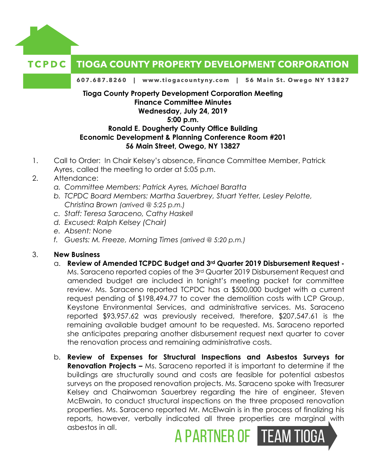

## **Tioga County Property Development Corporation Meeting Finance Committee Minutes Wednesday, July 24, 2019 5:00 p.m. Ronald E. Dougherty County Office Building**

## **Economic Development & Planning Conference Room #201 56 Main Street, Owego, NY 13827**

- 1. Call to Order: In Chair Kelsey's absence, Finance Committee Member, Patrick Ayres, called the meeting to order at 5:05 p.m.
- 2. Attendance:
	- *a. Committee Members: Patrick Ayres, Michael Baratta*
	- *b. TCPDC Board Members: Martha Sauerbrey, Stuart Yetter, Lesley Pelotte, Christina Brown (arrived @ 5:25 p.m.)*
	- *c. Staff: Teresa Saraceno, Cathy Haskell*
	- *d. Excused: Ralph Kelsey (Chair)*
	- *e. Absent: None*
	- *f. Guests: M. Freeze, Morning Times (arrived @ 5:20 p.m.)*

## 3. **New Business**

- a. **Review of Amended TCPDC Budget and 3rd Quarter 2019 Disbursement Request -** Ms. Saraceno reported copies of the 3rd Quarter 2019 Disbursement Request and amended budget are included in tonight's meeting packet for committee review. Ms. Saraceno reported TCPDC has a \$500,000 budget with a current request pending of \$198,494.77 to cover the demolition costs with LCP Group, Keystone Environmental Services, and administrative services. Ms. Saraceno reported \$93,957.62 was previously received, therefore, \$207,547.61 is the remaining available budget amount to be requested. Ms. Saraceno reported she anticipates preparing another disbursement request next quarter to cover the renovation process and remaining administrative costs.
- b. **Review of Expenses for Structural Inspections and Asbestos Surveys for Renovation Projects –** Ms. Saraceno reported it is important to determine if the buildings are structurally sound and costs are feasible for potential asbestos surveys on the proposed renovation projects. Ms. Saraceno spoke with Treasurer Kelsey and Chairwoman Sauerbrey regarding the hire of engineer, Steven McElwain, to conduct structural inspections on the three proposed renovation properties. Ms. Saraceno reported Mr. McElwain is in the process of finalizing his reports, however, verbally indicated all three properties are marginal with asbestos in all. A PARTNER OF TEAM TIOGA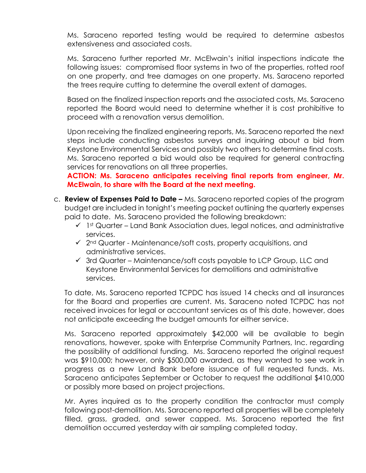Ms. Saraceno reported testing would be required to determine asbestos extensiveness and associated costs.

Ms. Saraceno further reported Mr. McElwain's initial inspections indicate the following issues: compromised floor systems in two of the properties, rotted roof on one property, and tree damages on one property. Ms. Saraceno reported the trees require cutting to determine the overall extent of damages.

Based on the finalized inspection reports and the associated costs, Ms. Saraceno reported the Board would need to determine whether it is cost prohibitive to proceed with a renovation versus demolition.

Upon receiving the finalized engineering reports, Ms. Saraceno reported the next steps include conducting asbestos surveys and inquiring about a bid from Keystone Environmental Services and possibly two others to determine final costs. Ms. Saraceno reported a bid would also be required for general contracting services for renovations on all three properties.

**ACTION: Ms. Saraceno anticipates receiving final reports from engineer, Mr. McElwain, to share with the Board at the next meeting.** 

- c. **Review of Expenses Paid to Date –** Ms. Saraceno reported copies of the program budget are included in tonight's meeting packet outlining the quarterly expenses paid to date. Ms. Saraceno provided the following breakdown:
	- $\checkmark$  1st Quarter Land Bank Association dues, legal notices, and administrative services.
	- $\checkmark$  2<sup>nd</sup> Quarter Maintenance/soft costs, property acquisitions, and administrative services.
	- $\checkmark$  3rd Quarter Maintenance/soft costs payable to LCP Group, LLC and Keystone Environmental Services for demolitions and administrative services.

To date, Ms. Saraceno reported TCPDC has issued 14 checks and all insurances for the Board and properties are current. Ms. Saraceno noted TCPDC has not received invoices for legal or accountant services as of this date, however, does not anticipate exceeding the budget amounts for either service.

Ms. Saraceno reported approximately \$42,000 will be available to begin renovations, however, spoke with Enterprise Community Partners, Inc. regarding the possibility of additional funding. Ms. Saraceno reported the original request was \$910,000; however, only \$500,000 awarded, as they wanted to see work in progress as a new Land Bank before issuance of full requested funds. Ms. Saraceno anticipates September or October to request the additional \$410,000 or possibly more based on project projections.

Mr. Ayres inquired as to the property condition the contractor must comply following post-demolition. Ms. Saraceno reported all properties will be completely filled, grass, graded, and sewer capped. Ms. Saraceno reported the first demolition occurred yesterday with air sampling completed today.